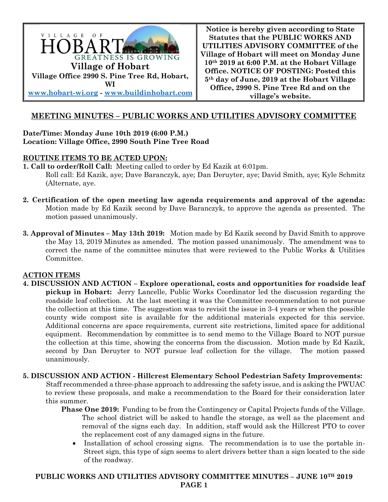

**Notice is hereby given according to State Statutes that the PUBLIC WORKS AND UTILITIES ADVISORY COMMITTEE of the Village of Hobart will meet on Monday June 10th 2019 at 6:00 P.M. at the Hobart Village Office. NOTICE OF POSTING: Posted this 5th day of June, 2019 at the Hobart Village Office, 2990 S. Pine Tree Rd and on the village's website.**

# **MEETING MINUTES – PUBLIC WORKS AND UTILITIES ADVISORY COMMITTEE**

### **Date/Time: Monday June 10th 2019 (6:00 P.M.) Location: Village Office, 2990 South Pine Tree Road**

### **ROUTINE ITEMS TO BE ACTED UPON:**

**1. Call to order/Roll Call:** Meeting called to order by Ed Kazik at 6:01pm. Roll call: Ed Kazik, aye; Dave Baranczyk, aye; Dan Deruyter, aye; David Smith, aye; Kyle Schmitz (Alternate, aye.

- **2. Certification of the open meeting law agenda requirements and approval of the agenda:**  Motion made by Ed Kazik second by Dave Baranczyk, to approve the agenda as presented. The motion passed unanimously.
- **3. Approval of Minutes – May 13th 2019:** Motion made by Ed Kazik second by David Smith to approve the May 13, 2019 Minutes as amended. The motion passed unanimously. The amendment was to correct the name of the committee minutes that were reviewed to the Public Works & Utilities Committee.

## **ACTION ITEMS**

- **4. DISCUSSION AND ACTION – Explore operational, costs and opportunities for roadside leaf pickup in Hobart:** Jerry Lancelle, Public Works Coordinator led the discussion regarding the roadside leaf collection. At the last meeting it was the Committee recommendation to not pursue the collection at this time. The suggestion was to revisit the issue in 3-4 years or when the possible county wide compost site is available for the additional materials expected for this service. Additional concerns are space requirements, current site restrictions, limited space for additional equipment. Recommendation by committee is to send memo to the Village Board to NOT pursue the collection at this time, showing the concerns from the discussion. Motion made by Ed Kazik, second by Dan Deruyter to NOT pursue leaf collection for the village. The motion passed unanimously.
- **5. DISCUSSION AND ACTION - Hillcrest Elementary School Pedestrian Safety Improvements:**

 Staff recommended a three-phase approach to addressing the safety issue, and is asking the PWUAC to review these proposals, and make a recommendation to the Board for their consideration later this summer.

- **Phase One 2019:** Funding to be from the Contingency or Capital Projects funds of the Village. The school district will be asked to handle the storage, as well as the placement and removal of the signs each day. In addition, staff would ask the Hillcrest PTO to cover the replacement cost of any damaged signs in the future.
	- Installation of school crossing signs. The recommendation is to use the portable in-Street sign, this type of sign seems to alert drivers better than a sign located to the side of the roadway.

**PUBLIC WORKS AND UTILITIES ADVISORY COMMITTEE MINUTES – JUNE 10TH 2019 PAGE 1**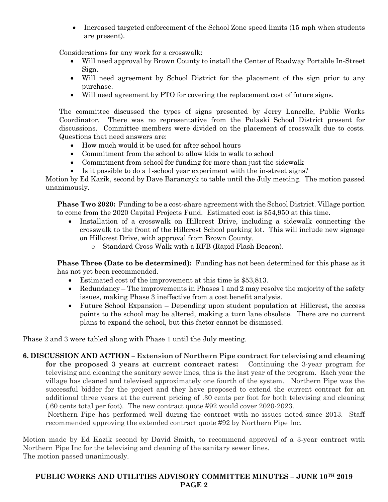• Increased targeted enforcement of the School Zone speed limits (15 mph when students are present).

Considerations for any work for a crosswalk:

- Will need approval by Brown County to install the Center of Roadway Portable In-Street Sign.
- Will need agreement by School District for the placement of the sign prior to any purchase.
- Will need agreement by PTO for covering the replacement cost of future signs.

The committee discussed the types of signs presented by Jerry Lancelle, Public Works Coordinator. There was no representative from the Pulaski School District present for discussions. Committee members were divided on the placement of crosswalk due to costs. Questions that need answers are:

- How much would it be used for after school hours
- Commitment from the school to allow kids to walk to school
- Commitment from school for funding for more than just the sidewalk
- Is it possible to do a 1-school year experiment with the in-street signs?

Motion by Ed Kazik, second by Dave Baranczyk to table until the July meeting. The motion passed unanimously.

**Phase Two 2020:** Funding to be a cost-share agreement with the School District. Village portion to come from the 2020 Capital Projects Fund. Estimated cost is \$54,950 at this time.

- Installation of a crosswalk on Hillcrest Drive, including a sidewalk connecting the crosswalk to the front of the Hillcrest School parking lot. This will include new signage on Hillcrest Drive, with approval from Brown County.
	- o Standard Cross Walk with a RFB (Rapid Flash Beacon).

**Phase Three (Date to be determined):** Funding has not been determined for this phase as it has not yet been recommended.

- Estimated cost of the improvement at this time is \$53,813.
- Redundancy The improvements in Phases 1 and 2 may resolve the majority of the safety issues, making Phase 3 ineffective from a cost benefit analysis.
- Future School Expansion Depending upon student population at Hillcrest, the access points to the school may be altered, making a turn lane obsolete. There are no current plans to expand the school, but this factor cannot be dismissed.

Phase 2 and 3 were tabled along with Phase 1 until the July meeting.

**6. DISCUSSION AND ACTION – Extension of Northern Pipe contract for televising and cleaning for the proposed 3 years at current contract rates:** Continuing the 3-year program for televising and cleaning the sanitary sewer lines, this is the last year of the program. Each year the village has cleaned and televised approximately one fourth of the system. Northern Pipe was the successful bidder for the project and they have proposed to extend the current contract for an additional three years at the current pricing of .30 cents per foot for both televising and cleaning (.60 cents total per foot). The new contract quote #92 would cover 2020-2023.

Northern Pipe has performed well during the contract with no issues noted since 2013. Staff recommended approving the extended contract quote #92 by Northern Pipe Inc.

Motion made by Ed Kazik second by David Smith, to recommend approval of a 3-year contract with Northern Pipe Inc for the televising and cleaning of the sanitary sewer lines. The motion passed unanimously.

### **PUBLIC WORKS AND UTILITIES ADVISORY COMMITTEE MINUTES – JUNE 10TH 2019 PAGE 2**